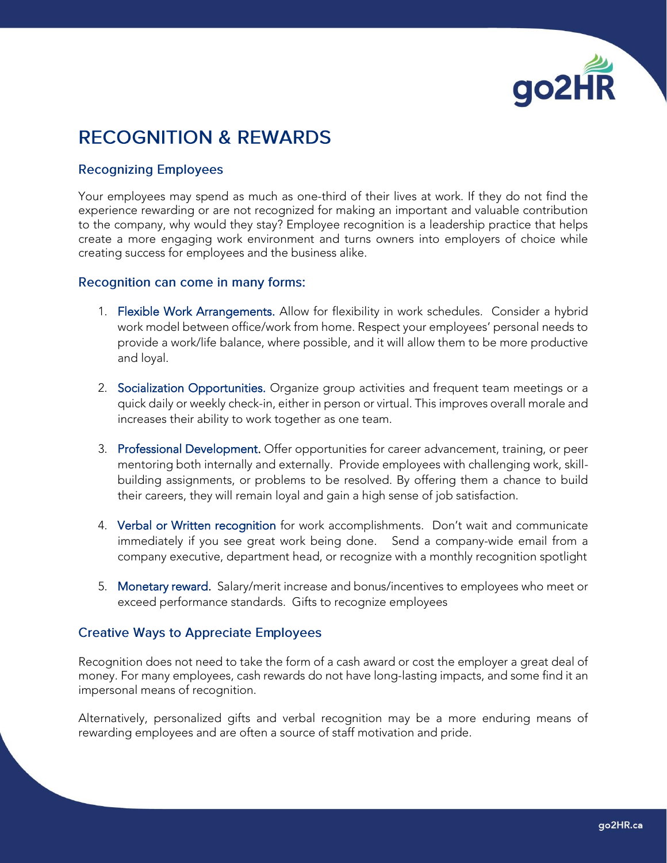

# **RECOGNITION & REWARDS**

## **Recognizing Employees**

Your employees may spend as much as one-third of their lives at work. If they do not find the experience rewarding or are not recognized for making an important and valuable contribution to the company, why would they stay? Employee recognition is a leadership practice that helps create a more engaging work environment and turns owners into employers of choice while creating success for employees and the business alike.

#### Recognition can come in many forms:

- 1. Flexible Work Arrangements. Allow for flexibility in work schedules. Consider a hybrid work model between office/work from home. Respect your employees' personal needs to provide a work/life balance, where possible, and it will allow them to be more productive and loyal.
- 2. Socialization Opportunities. Organize group activities and frequent team meetings or a quick daily or weekly check-in, either in person or virtual. This improves overall morale and increases their ability to work together as one team.
- 3. Professional Development. Offer opportunities for career advancement, training, or peer mentoring both internally and externally. Provide employees with challenging work, skillbuilding assignments, or problems to be resolved. By offering them a chance to build their careers, they will remain loyal and gain a high sense of job satisfaction.
- 4. Verbal or Written recognition for work accomplishments. Don't wait and communicate immediately if you see great work being done. Send a company-wide email from a company executive, department head, or recognize with a monthly recognition spotlight
- 5. Monetary reward. Salary/merit increase and bonus/incentives to employees who meet or exceed performance standards. Gifts to recognize employees

### **Creative Ways to Appreciate Employees**

Recognition does not need to take the form of a cash award or cost the employer a great deal of money. For many employees, cash rewards do not have long-lasting impacts, and some find it an impersonal means of recognition.

Alternatively, personalized gifts and verbal recognition may be a more enduring means of rewarding employees and are often a source of staff motivation and pride.